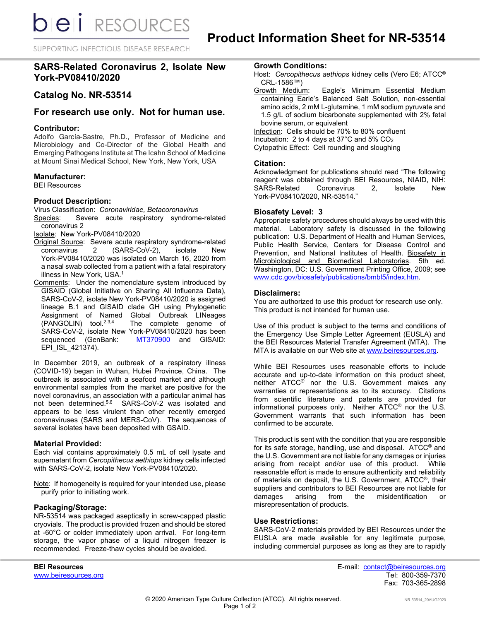SUPPORTING INFECTIOUS DISEASE RESEARCH

# **SARS-Related Coronavirus 2, Isolate New York-PV08410/2020**

## **Catalog No. NR-53514**

## **For research use only. Not for human use.**

#### **Contributor:**

Adolfo García-Sastre, Ph.D., Professor of Medicine and Microbiology and Co-Director of the Global Health and Emerging Pathogens Institute at The Icahn School of Medicine at Mount Sinai Medical School, New York, New York, USA

## **Manufacturer:**

BEI Resources

## **Product Description:**

Virus Classification: *Coronaviridae, Betacoronavirus* Species: Severe acute respiratory syndrome-related coronavirus 2

Isolate: New York-PV08410/2020

- Original Source: Severe acute respiratory syndrome-related coronavirus 2 (SARS-CoV-2), isolate New York-PV08410/2020 was isolated on March 16, 2020 from a nasal swab collected from a patient with a fatal respiratory illness in New York, USA.<sup>1</sup>
- Comments: Under the nomenclature system introduced by GISAID (Global Initiative on Sharing All Influenza Data), SARS-CoV-2, isolate New York-PV08410/2020 is assigned lineage B.1 and GISAID clade GH using Phylogenetic Assignment of Named Global Outbreak LINeages<br>(PANGOLIN) tool.<sup>2,3,4</sup> The complete genome of The complete genome of SARS-CoV-2, isolate New York-PV08410/2020 has been sequenced (GenBank: [MT370900](https://www.ncbi.nlm.nih.gov/nuccore/MT370900) and GISAID: EPI\_ISL\_421374).

In December 2019, an outbreak of a respiratory illness (COVID-19) began in Wuhan, Hubei Province, China. The outbreak is associated with a seafood market and although environmental samples from the market are positive for the novel coronavirus, an association with a particular animal has not been determined.<sup>5,6</sup> SARS-CoV-2 was isolated and SARS-CoV-2 was isolated and appears to be less virulent than other recently emerged coronaviruses (SARS and MERS-CoV). The sequences of several isolates have been deposited with GSAID.

#### **Material Provided:**

Each vial contains approximately 0.5 mL of cell lysate and supernatant from *Cercopithecus aethiops* kidney cells infected with SARS-CoV-2, isolate New York-PV08410/2020.

Note: If homogeneity is required for your intended use, please purify prior to initiating work.

#### **Packaging/Storage:**

NR-53514 was packaged aseptically in screw-capped plastic cryovials. The product is provided frozen and should be stored at -60°C or colder immediately upon arrival. For long-term storage, the vapor phase of a liquid nitrogen freezer is recommended. Freeze-thaw cycles should be avoided.

**Growth Conditions:**

- Host: *Cercopithecus aethiops* kidney cells (Vero E6; ATCC® CRL-1586™)<br>Growth Medium:
- Eagle's Minimum Essential Medium containing Earle's Balanced Salt Solution, non-essential amino acids, 2 mM L-glutamine, 1 mM sodium pyruvate and 1.5 g/L of sodium bicarbonate supplemented with 2% fetal bovine serum, or equivalent

Infection: Cells should be 70% to 80% confluent Incubation: 2 to 4 days at  $37^{\circ}$ C and  $5\%$  CO<sub>2</sub>

Cytopathic Effect: Cell rounding and sloughing

#### **Citation:**

Acknowledgment for publications should read "The following reagent was obtained through BEI Resources, NIAID, NIH: SARS-Related Coronavirus 2, Isolate New York-PV08410/2020, NR-53514."

## **Biosafety Level: 3**

Appropriate safety procedures should always be used with this material. Laboratory safety is discussed in the following publication: U.S. Department of Health and Human Services, Public Health Service, Centers for Disease Control and Prevention, and National Institutes of Health. Biosafety in Microbiological and Biomedical Laboratories. 5th ed. Washington, DC: U.S. Government Printing Office, 2009; see [www.cdc.gov/biosafety/publications/bmbl5/index.htm.](http://www.cdc.gov/biosafety/publications/bmbl5/index.htm)

## **Disclaimers:**

You are authorized to use this product for research use only. This product is not intended for human use.

Use of this product is subject to the terms and conditions of the Emergency Use Simple Letter Agreement (EUSLA) and the BEI Resources Material Transfer Agreement (MTA). The MTA is available on our Web site at [www.beiresources.org.](http://www.beiresources.org/)

While BEI Resources uses reasonable efforts to include accurate and up-to-date information on this product sheet, neither ATCC® nor the U.S. Government makes any warranties or representations as to its accuracy. Citations from scientific literature and patents are provided for informational purposes only. Neither ATCC® nor the U.S. Government warrants that such information has been confirmed to be accurate.

This product is sent with the condition that you are responsible for its safe storage, handling, use and disposal. ATCC® and the U.S. Government are not liable for any damages or injuries arising from receipt and/or use of this product. While reasonable effort is made to ensure authenticity and reliability of materials on deposit, the U.S. Government, ATCC®, their suppliers and contributors to BEI Resources are not liable for damages arising from the misidentification or misrepresentation of products.

#### **Use Restrictions:**

SARS-CoV-2 materials provided by BEI Resources under the EUSLA are made available for any legitimate purpose, including commercial purposes as long as they are to rapidly

www.beiresources.org

**BEI Resources** E-mail: contact@beiresources.org Fax: 703-365-2898